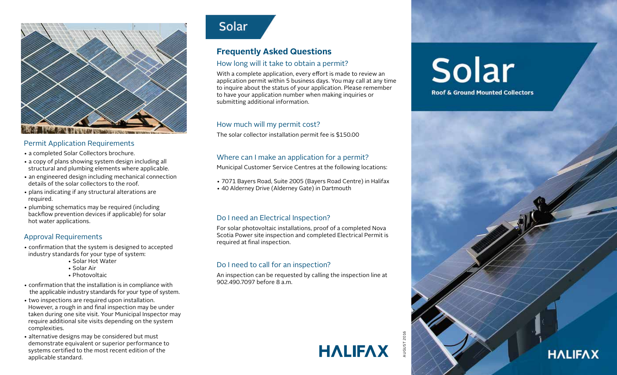

### Permit Application Requirements

- a completed Solar Collectors brochure.
- a copy of plans showing system design including all structural and plumbing elements where applicable.
- an engineered design including mechanical connection details of the solar collectors to the roof.
- plans indicating if any structural alterations are required.
- plumbing schematics may be required (including backflow prevention devices if applicable) for solar hot water applications.

### Approval Requirements

- confirmation that the system is designed to accepted industry standards for your type of system:
	- Solar Hot Water
	- Solar Air
	- Photovoltaic
- confirmation that the installation is in compliance with the applicable industry standards for your type of system.
- two inspections are required upon installation. However, a rough in and final inspection may be under taken during one site visit. Your Municipal Inspector may require additional site visits depending on the system complexities.
- alternative designs may be considered but must demonstrate equivalent or superior performance to systems certified to the most recent edition of the applicable standard.



## **Frequently Asked Questions**

### How long will it take to obtain a permit?

With a complete application, every effort is made to review an application permit within 5 business days. You may call at any time to inquire about the status of your application. Please remember to have your application number when making inquiries or submitting additional information.

### How much will my permit cost?

The solar collector installation permit fee is \$150.00

### Where can I make an application for a permit?

Municipal Customer Service Centres at the following locations:

- 7071 Bayers Road, Suite 2005 (Bayers Road Centre) in Halifax
- 40 Alderney Drive (Alderney Gate) in Dartmouth

### Do I need an Electrical Inspection?

For solar photovoltaic installations, proof of a completed Nova Scotia Power site inspection and completed Electrical Permit is required at final inspection.

### Do I need to call for an inspection?

An inspection can be requested by calling the inspection line at 902.490.7097 before 8 a.m.

# **HALIFAX**

Solar **Roof & Ground Mounted Collectors**